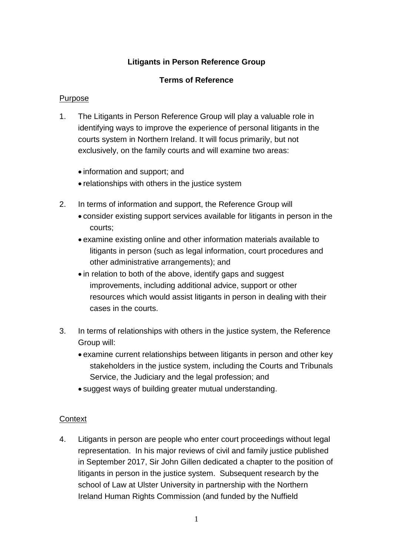## **Litigants in Person Reference Group**

#### **Terms of Reference**

#### Purpose

- 1. The Litigants in Person Reference Group will play a valuable role in identifying ways to improve the experience of personal litigants in the courts system in Northern Ireland. It will focus primarily, but not exclusively, on the family courts and will examine two areas:
	- information and support; and
	- relationships with others in the justice system
- 2. In terms of information and support, the Reference Group will
	- consider existing support services available for litigants in person in the courts;
	- examine existing online and other information materials available to litigants in person (such as legal information, court procedures and other administrative arrangements); and
	- in relation to both of the above, identify gaps and suggest improvements, including additional advice, support or other resources which would assist litigants in person in dealing with their cases in the courts.
- 3. In terms of relationships with others in the justice system, the Reference Group will:
	- examine current relationships between litigants in person and other key stakeholders in the justice system, including the Courts and Tribunals Service, the Judiciary and the legal profession; and
	- suggest ways of building greater mutual understanding.

#### **Context**

 in September 2017, Sir John Gillen dedicated a chapter to the position of 4. Litigants in person are people who enter court proceedings without legal representation. In his major reviews of civil and family justice published litigants in person in the justice system. Subsequent research by the school of Law at Ulster University in partnership with the Northern Ireland Human Rights Commission (and funded by the Nuffield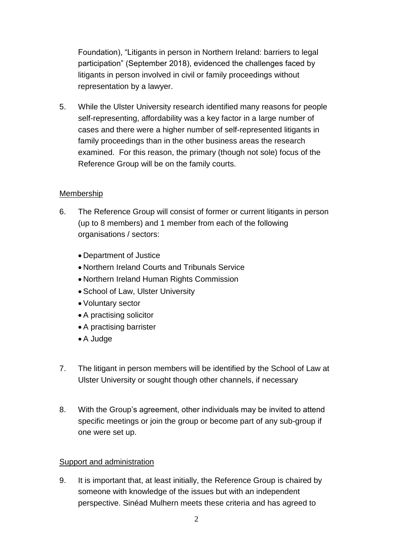Foundation), "Litigants in person in Northern Ireland: barriers to legal participation" (September 2018), evidenced the challenges faced by litigants in person involved in civil or family proceedings without representation by a lawyer.

5. While the Ulster University research identified many reasons for people self-representing, affordability was a key factor in a large number of cases and there were a higher number of self-represented litigants in family proceedings than in the other business areas the research examined. For this reason, the primary (though not sole) focus of the Reference Group will be on the family courts.

## Membership

- (up to 8 members) and 1 member from each of the following 6. The Reference Group will consist of former or current litigants in person organisations / sectors:
	- Department of Justice
	- Northern Ireland Courts and Tribunals Service
	- Northern Ireland Human Rights Commission
	- School of Law, Ulster University
	- Voluntary sector
	- A practising solicitor
	- A practising barrister
	- A Judge
- 7. The litigant in person members will be identified by the School of Law at Ulster University or sought though other channels, if necessary
- 8. With the Group's agreement, other individuals may be invited to attend one were set up. specific meetings or join the group or become part of any sub-group if

## Support and administration

 9. It is important that, at least initially, the Reference Group is chaired by someone with knowledge of the issues but with an independent perspective. Sinéad Mulhern meets these criteria and has agreed to